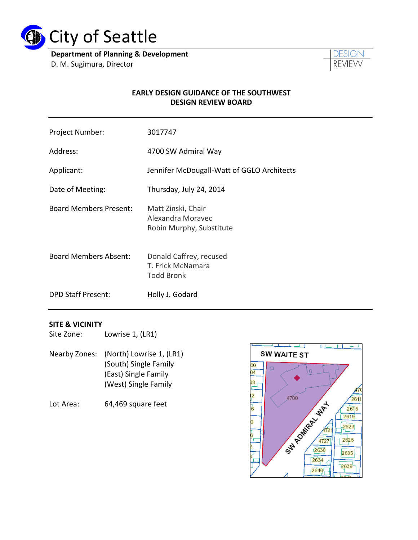

**Department of Planning & Development** D. M. Sugimura, Director



#### **EARLY DESIGN GUIDANCE OF THE SOUTHWEST DESIGN REVIEW BOARD**

| Project Number:               | 3017747                                                             |
|-------------------------------|---------------------------------------------------------------------|
| Address:                      | 4700 SW Admiral Way                                                 |
| Applicant:                    | Jennifer McDougall-Watt of GGLO Architects                          |
| Date of Meeting:              | Thursday, July 24, 2014                                             |
| <b>Board Members Present:</b> | Matt Zinski, Chair<br>Alexandra Moravec<br>Robin Murphy, Substitute |
| <b>Board Members Absent:</b>  | Donald Caffrey, recused<br>T. Frick McNamara<br><b>Todd Bronk</b>   |
| <b>DPD Staff Present:</b>     | Holly J. Godard                                                     |

#### **SITE & VICINITY**

Site Zone: Lowrise 1, (LR1)

- Nearby Zones: (North) Lowrise 1, (LR1) (South) Single Family (East) Single Family (West) Single Family
- Lot Area: 64,469 square feet

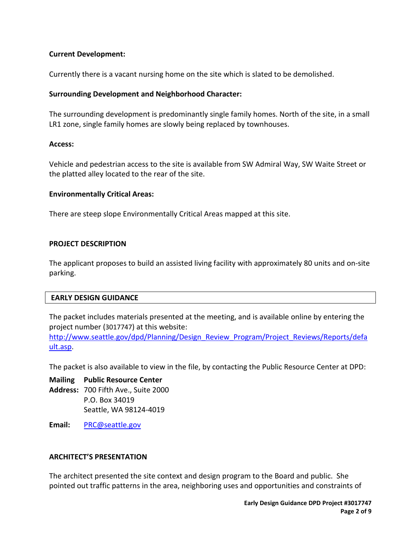### **Current Development:**

Currently there is a vacant nursing home on the site which is slated to be demolished.

#### **Surrounding Development and Neighborhood Character:**

The surrounding development is predominantly single family homes. North of the site, in a small LR1 zone, single family homes are slowly being replaced by townhouses.

#### **Access:**

Vehicle and pedestrian access to the site is available from SW Admiral Way, SW Waite Street or the platted alley located to the rear of the site.

#### **Environmentally Critical Areas:**

There are steep slope Environmentally Critical Areas mapped at this site.

### **PROJECT DESCRIPTION**

The applicant proposes to build an assisted living facility with approximately 80 units and on-site parking.

#### **EARLY DESIGN GUIDANCE**

The packet includes materials presented at the meeting, and is available online by entering the project number (3017747) at this website:

[http://www.seattle.gov/dpd/Planning/Design\\_Review\\_Program/Project\\_Reviews/Reports/defa](http://www.seattle.gov/dpd/Planning/Design_Review_Program/Project_Reviews/Reports/default.asp) [ult.asp.](http://www.seattle.gov/dpd/Planning/Design_Review_Program/Project_Reviews/Reports/default.asp)

The packet is also available to view in the file, by contacting the Public Resource Center at DPD:

**Mailing Public Resource Center Address:** 700 Fifth Ave., Suite 2000 P.O. Box 34019 Seattle, WA 98124-4019

**Email:** [PRC@seattle.gov](mailto:PRC@seattle.gov)

#### **ARCHITECT'S PRESENTATION**

The architect presented the site context and design program to the Board and public. She pointed out traffic patterns in the area, neighboring uses and opportunities and constraints of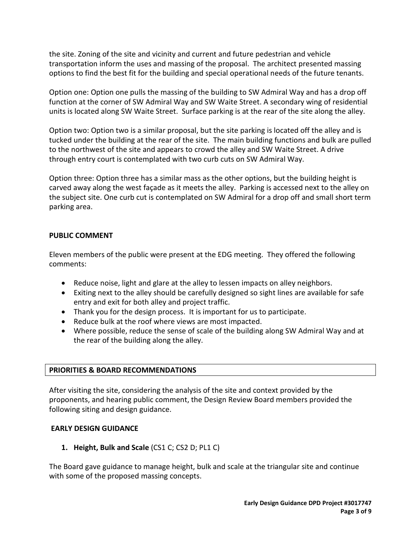the site. Zoning of the site and vicinity and current and future pedestrian and vehicle transportation inform the uses and massing of the proposal. The architect presented massing options to find the best fit for the building and special operational needs of the future tenants.

Option one: Option one pulls the massing of the building to SW Admiral Way and has a drop off function at the corner of SW Admiral Way and SW Waite Street. A secondary wing of residential units is located along SW Waite Street. Surface parking is at the rear of the site along the alley.

Option two: Option two is a similar proposal, but the site parking is located off the alley and is tucked under the building at the rear of the site. The main building functions and bulk are pulled to the northwest of the site and appears to crowd the alley and SW Waite Street. A drive through entry court is contemplated with two curb cuts on SW Admiral Way.

Option three: Option three has a similar mass as the other options, but the building height is carved away along the west façade as it meets the alley. Parking is accessed next to the alley on the subject site. One curb cut is contemplated on SW Admiral for a drop off and small short term parking area.

### **PUBLIC COMMENT**

Eleven members of the public were present at the EDG meeting. They offered the following comments:

- Reduce noise, light and glare at the alley to lessen impacts on alley neighbors.
- Exiting next to the alley should be carefully designed so sight lines are available for safe entry and exit for both alley and project traffic.
- Thank you for the design process. It is important for us to participate.
- Reduce bulk at the roof where views are most impacted.
- Where possible, reduce the sense of scale of the building along SW Admiral Way and at the rear of the building along the alley.

#### **PRIORITIES & BOARD RECOMMENDATIONS**

After visiting the site, considering the analysis of the site and context provided by the proponents, and hearing public comment, the Design Review Board members provided the following siting and design guidance.

#### **EARLY DESIGN GUIDANCE**

**1. Height, Bulk and Scale** (CS1 C; CS2 D; PL1 C)

The Board gave guidance to manage height, bulk and scale at the triangular site and continue with some of the proposed massing concepts.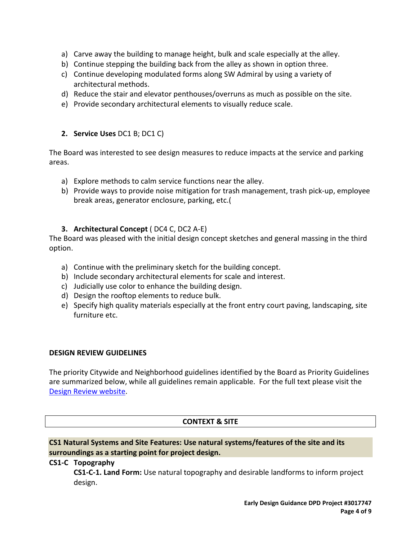- a) Carve away the building to manage height, bulk and scale especially at the alley.
- b) Continue stepping the building back from the alley as shown in option three.
- c) Continue developing modulated forms along SW Admiral by using a variety of architectural methods.
- d) Reduce the stair and elevator penthouses/overruns as much as possible on the site.
- e) Provide secondary architectural elements to visually reduce scale.
- **2. Service Uses** DC1 B; DC1 C)

The Board was interested to see design measures to reduce impacts at the service and parking areas.

- a) Explore methods to calm service functions near the alley.
- b) Provide ways to provide noise mitigation for trash management, trash pick-up, employee break areas, generator enclosure, parking, etc.(

### **3. Architectural Concept** ( DC4 C, DC2 A-E)

The Board was pleased with the initial design concept sketches and general massing in the third option.

- a) Continue with the preliminary sketch for the building concept.
- b) Include secondary architectural elements for scale and interest.
- c) Judicially use color to enhance the building design.
- d) Design the rooftop elements to reduce bulk.
- e) Specify high quality materials especially at the front entry court paving, landscaping, site furniture etc.

#### **DESIGN REVIEW GUIDELINES**

The priority Citywide and Neighborhood guidelines identified by the Board as Priority Guidelines are summarized below, while all guidelines remain applicable. For the full text please visit the [Design Review website.](https://www.seattle.gov/dpd/aboutus/whoweare/designreview/designguidelines/default.htm)

#### **CONTEXT & SITE**

**CS1 Natural Systems and Site Features: Use natural systems/features of the site and its surroundings as a starting point for project design.**

#### **CS1-C Topography**

**CS1-C-1. Land Form:** Use natural topography and desirable landforms to inform project design.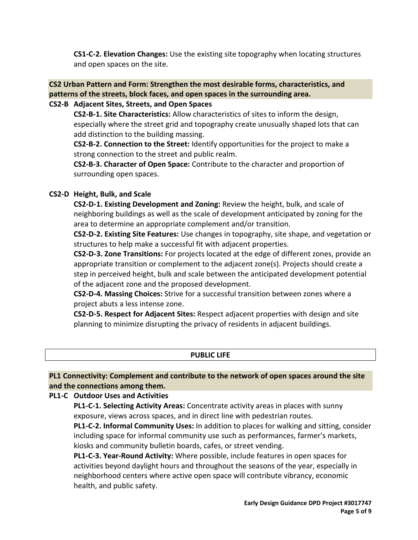**CS1-C-2. Elevation Changes:** Use the existing site topography when locating structures and open spaces on the site.

### **CS2 Urban Pattern and Form: Strengthen the most desirable forms, characteristics, and patterns of the streets, block faces, and open spaces in the surrounding area.**

### **CS2-B Adjacent Sites, Streets, and Open Spaces**

**CS2-B-1. Site Characteristics:** Allow characteristics of sites to inform the design, especially where the street grid and topography create unusually shaped lots that can add distinction to the building massing.

**CS2-B-2. Connection to the Street:** Identify opportunities for the project to make a strong connection to the street and public realm.

**CS2-B-3. Character of Open Space:** Contribute to the character and proportion of surrounding open spaces.

### **CS2-D Height, Bulk, and Scale**

**CS2-D-1. Existing Development and Zoning:** Review the height, bulk, and scale of neighboring buildings as well as the scale of development anticipated by zoning for the area to determine an appropriate complement and/or transition.

**CS2-D-2. Existing Site Features:** Use changes in topography, site shape, and vegetation or structures to help make a successful fit with adjacent properties.

**CS2-D-3. Zone Transitions:** For projects located at the edge of different zones, provide an appropriate transition or complement to the adjacent zone(s). Projects should create a step in perceived height, bulk and scale between the anticipated development potential of the adjacent zone and the proposed development.

**CS2-D-4. Massing Choices:** Strive for a successful transition between zones where a project abuts a less intense zone.

**CS2-D-5. Respect for Adjacent Sites:** Respect adjacent properties with design and site planning to minimize disrupting the privacy of residents in adjacent buildings.

#### **PUBLIC LIFE**

### **PL1 Connectivity: Complement and contribute to the network of open spaces around the site and the connections among them.**

#### **PL1-C Outdoor Uses and Activities**

**PL1-C-1. Selecting Activity Areas:** Concentrate activity areas in places with sunny exposure, views across spaces, and in direct line with pedestrian routes.

**PL1-C-2. Informal Community Uses:** In addition to places for walking and sitting, consider including space for informal community use such as performances, farmer's markets, kiosks and community bulletin boards, cafes, or street vending.

**PL1-C-3. Year-Round Activity:** Where possible, include features in open spaces for activities beyond daylight hours and throughout the seasons of the year, especially in neighborhood centers where active open space will contribute vibrancy, economic health, and public safety.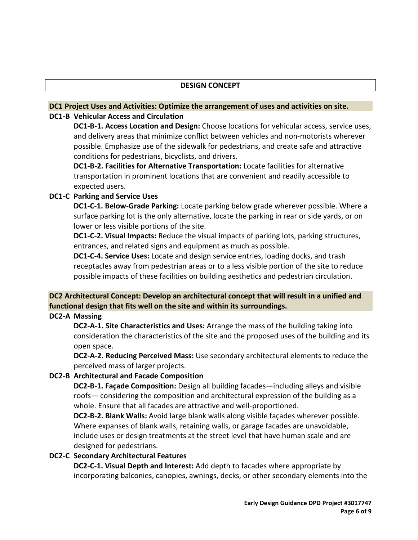#### **DC1 Project Uses and Activities: Optimize the arrangement of uses and activities on site. DC1-B Vehicular Access and Circulation**

**DC1-B-1. Access Location and Design:** Choose locations for vehicular access, service uses, and delivery areas that minimize conflict between vehicles and non-motorists wherever possible. Emphasize use of the sidewalk for pedestrians, and create safe and attractive conditions for pedestrians, bicyclists, and drivers.

**DC1-B-2. Facilities for Alternative Transportation:** Locate facilities for alternative transportation in prominent locations that are convenient and readily accessible to expected users.

### **DC1-C Parking and Service Uses**

**DC1-C-1. Below-Grade Parking:** Locate parking below grade wherever possible. Where a surface parking lot is the only alternative, locate the parking in rear or side yards, or on lower or less visible portions of the site.

**DC1-C-2. Visual Impacts:** Reduce the visual impacts of parking lots, parking structures, entrances, and related signs and equipment as much as possible.

**DC1-C-4. Service Uses:** Locate and design service entries, loading docks, and trash receptacles away from pedestrian areas or to a less visible portion of the site to reduce possible impacts of these facilities on building aesthetics and pedestrian circulation.

# **DC2 Architectural Concept: Develop an architectural concept that will result in a unified and functional design that fits well on the site and within its surroundings.**

**DC2-A Massing**

**DC2-A-1. Site Characteristics and Uses:** Arrange the mass of the building taking into consideration the characteristics of the site and the proposed uses of the building and its open space.

**DC2-A-2. Reducing Perceived Mass:** Use secondary architectural elements to reduce the perceived mass of larger projects.

### **DC2-B Architectural and Facade Composition**

**DC2-B-1. Façade Composition:** Design all building facades—including alleys and visible roofs— considering the composition and architectural expression of the building as a whole. Ensure that all facades are attractive and well-proportioned.

**DC2-B-2. Blank Walls:** Avoid large blank walls along visible façades wherever possible. Where expanses of blank walls, retaining walls, or garage facades are unavoidable, include uses or design treatments at the street level that have human scale and are designed for pedestrians.

### **DC2-C Secondary Architectural Features**

**DC2-C-1. Visual Depth and Interest:** Add depth to facades where appropriate by incorporating balconies, canopies, awnings, decks, or other secondary elements into the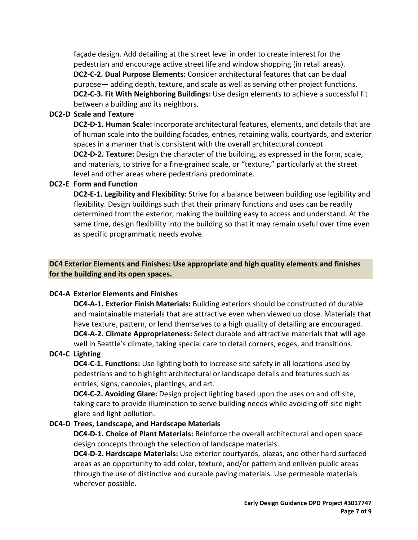façade design. Add detailing at the street level in order to create interest for the pedestrian and encourage active street life and window shopping (in retail areas). **DC2-C-2. Dual Purpose Elements:** Consider architectural features that can be dual purpose— adding depth, texture, and scale as well as serving other project functions. **DC2-C-3. Fit With Neighboring Buildings:** Use design elements to achieve a successful fit between a building and its neighbors.

### **DC2-D Scale and Texture**

**DC2-D-1. Human Scale:** Incorporate architectural features, elements, and details that are of human scale into the building facades, entries, retaining walls, courtyards, and exterior spaces in a manner that is consistent with the overall architectural concept **DC2-D-2. Texture:** Design the character of the building, as expressed in the form, scale, and materials, to strive for a fine-grained scale, or "texture," particularly at the street level and other areas where pedestrians predominate.

### **DC2-E Form and Function**

**DC2-E-1. Legibility and Flexibility:** Strive for a balance between building use legibility and flexibility. Design buildings such that their primary functions and uses can be readily determined from the exterior, making the building easy to access and understand. At the same time, design flexibility into the building so that it may remain useful over time even as specific programmatic needs evolve.

## **DC4 Exterior Elements and Finishes: Use appropriate and high quality elements and finishes for the building and its open spaces.**

#### **DC4-A Exterior Elements and Finishes**

**DC4-A-1. Exterior Finish Materials:** Building exteriors should be constructed of durable and maintainable materials that are attractive even when viewed up close. Materials that have texture, pattern, or lend themselves to a high quality of detailing are encouraged. **DC4-A-2. Climate Appropriateness:** Select durable and attractive materials that will age well in Seattle's climate, taking special care to detail corners, edges, and transitions.

### **DC4-C Lighting**

**DC4-C-1. Functions:** Use lighting both to increase site safety in all locations used by pedestrians and to highlight architectural or landscape details and features such as entries, signs, canopies, plantings, and art.

**DC4-C-2. Avoiding Glare:** Design project lighting based upon the uses on and off site, taking care to provide illumination to serve building needs while avoiding off-site night glare and light pollution.

#### **DC4-D Trees, Landscape, and Hardscape Materials**

**DC4-D-1. Choice of Plant Materials:** Reinforce the overall architectural and open space design concepts through the selection of landscape materials.

**DC4-D-2. Hardscape Materials:** Use exterior courtyards, plazas, and other hard surfaced areas as an opportunity to add color, texture, and/or pattern and enliven public areas through the use of distinctive and durable paving materials. Use permeable materials wherever possible.